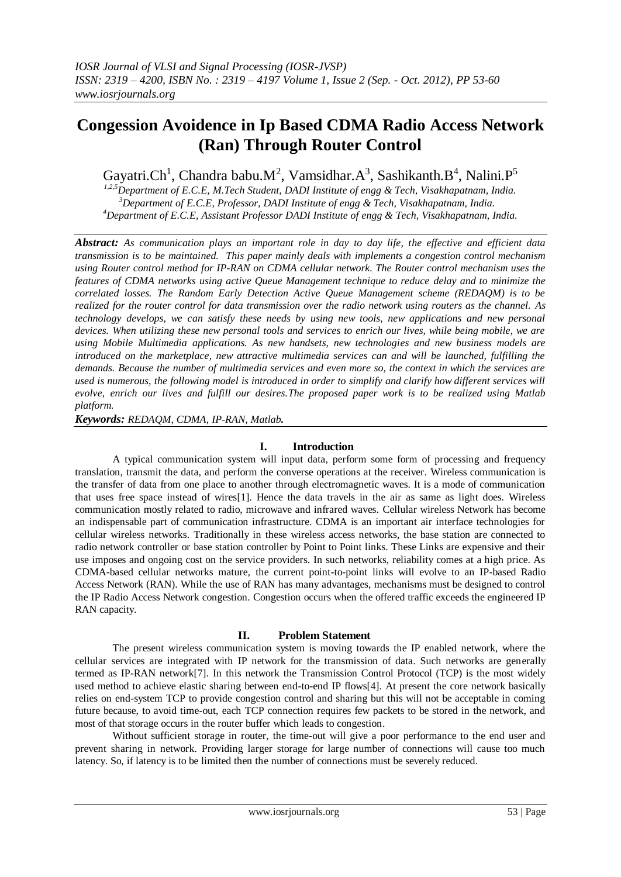# **Congession Avoidence in Ip Based CDMA Radio Access Network (Ran) Through Router Control**

Gayatri.Ch<sup>1</sup>, Chandra babu.M<sup>2</sup>, Vamsidhar.A<sup>3</sup>, Sashikanth.B<sup>4</sup>, Nalini.P<sup>5</sup>

*1,2,5Department of E.C.E, M.Tech Student, DADI Institute of engg & Tech, Visakhapatnam, India. <sup>3</sup>Department of E.C.E, Professor, DADI Institute of engg & Tech, Visakhapatnam, India. <sup>4</sup>Department of E.C.E, Assistant Professor DADI Institute of engg & Tech, Visakhapatnam, India.*

*Abstract: As communication plays an important role in day to day life, the effective and efficient data transmission is to be maintained. This paper mainly deals with implements a congestion control mechanism using Router control method for IP-RAN on CDMA cellular network. The Router control mechanism uses the features of CDMA networks using active Queue Management technique to reduce delay and to minimize the correlated losses. The Random Early Detection Active Queue Management scheme (REDAQM) is to be realized for the router control for data transmission over the radio network using routers as the channel. As technology develops, we can satisfy these needs by using new tools, new applications and new personal devices. When utilizing these new personal tools and services to enrich our lives, while being mobile, we are using Mobile Multimedia applications. As new handsets, new technologies and new business models are introduced on the marketplace, new attractive multimedia services can and will be launched, fulfilling the demands. Because the number of multimedia services and even more so, the context in which the services are used is numerous, the following model is introduced in order to simplify and clarify how different services will evolve, enrich our lives and fulfill our desires.The proposed paper work is to be realized using Matlab platform.*

*Keywords: REDAQM, CDMA, IP-RAN, Matlab.*

## **I. Introduction**

A typical communication system will input data, perform some form of processing and frequency translation, transmit the data, and perform the converse operations at the receiver. Wireless communication is the transfer of data from one place to another through electromagnetic waves. It is a mode of communication that uses free space instead of wires[1]. Hence the data travels in the air as same as light does. Wireless communication mostly related to radio, microwave and infrared waves. Cellular wireless Network has become an indispensable part of communication infrastructure. CDMA is an important air interface technologies for cellular wireless networks. Traditionally in these wireless access networks, the base station are connected to radio network controller or base station controller by Point to Point links. These Links are expensive and their use imposes and ongoing cost on the service providers. In such networks, reliability comes at a high price. As CDMA-based cellular networks mature, the current point-to-point links will evolve to an IP-based Radio Access Network (RAN). While the use of RAN has many advantages, mechanisms must be designed to control the IP Radio Access Network congestion. Congestion occurs when the offered traffic exceeds the engineered IP RAN capacity.

## **II. Problem Statement**

The present wireless communication system is moving towards the IP enabled network, where the cellular services are integrated with IP network for the transmission of data. Such networks are generally termed as IP-RAN network[7]. In this network the Transmission Control Protocol (TCP) is the most widely used method to achieve elastic sharing between end-to-end IP flows[4]. At present the core network basically relies on end-system TCP to provide congestion control and sharing but this will not be acceptable in coming future because, to avoid time-out, each TCP connection requires few packets to be stored in the network, and most of that storage occurs in the router buffer which leads to congestion.

Without sufficient storage in router, the time-out will give a poor performance to the end user and prevent sharing in network. Providing larger storage for large number of connections will cause too much latency. So, if latency is to be limited then the number of connections must be severely reduced.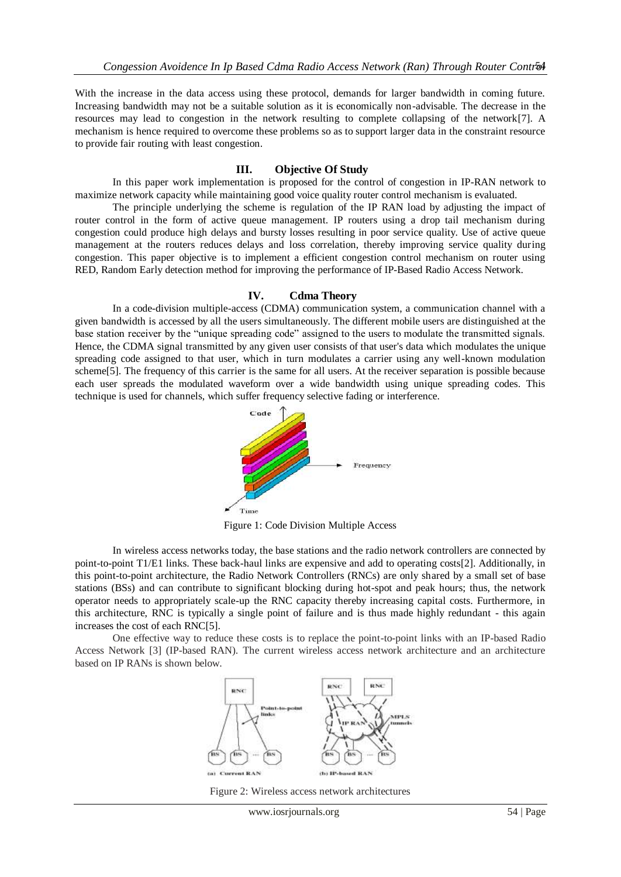With the increase in the data access using these protocol, demands for larger bandwidth in coming future. Increasing bandwidth may not be a suitable solution as it is economically non-advisable. The decrease in the resources may lead to congestion in the network resulting to complete collapsing of the network[7]. A mechanism is hence required to overcome these problems so as to support larger data in the constraint resource to provide fair routing with least congestion.

#### **III. Objective Of Study**

In this paper work implementation is proposed for the control of congestion in IP-RAN network to maximize network capacity while maintaining good voice quality router control mechanism is evaluated.

The principle underlying the scheme is regulation of the IP RAN load by adjusting the impact of router control in the form of active queue management. IP routers using a drop tail mechanism during congestion could produce high delays and bursty losses resulting in poor service quality. Use of active queue management at the routers reduces delays and loss correlation, thereby improving service quality during congestion. This paper objective is to implement a efficient congestion control mechanism on router using RED, Random Early detection method for improving the performance of IP-Based Radio Access Network.

#### **IV. Cdma Theory**

In a code-division multiple-access (CDMA) communication system, a communication channel with a given bandwidth is accessed by all the users simultaneously. The different mobile users are distinguished at the base station receiver by the "unique spreading code" assigned to the users to modulate the transmitted signals. Hence, the CDMA signal transmitted by any given user consists of that user's data which modulates the unique spreading code assigned to that user, which in turn modulates a carrier using any well-known modulation scheme[5]. The frequency of this carrier is the same for all users. At the receiver separation is possible because each user spreads the modulated waveform over a wide bandwidth using unique spreading codes. This technique is used for channels, which suffer frequency selective fading or interference.



Figure 1: Code Division Multiple Access

In wireless access networks today, the base stations and the radio network controllers are connected by point-to-point T1/E1 links. These back-haul links are expensive and add to operating costs[2]. Additionally, in this point-to-point architecture, the Radio Network Controllers (RNCs) are only shared by a small set of base stations (BSs) and can contribute to significant blocking during hot-spot and peak hours; thus, the network operator needs to appropriately scale-up the RNC capacity thereby increasing capital costs. Furthermore, in this architecture, RNC is typically a single point of failure and is thus made highly redundant - this again increases the cost of each RNC[5].

One effective way to reduce these costs is to replace the point-to-point links with an IP-based Radio Access Network [3] (IP-based RAN). The current wireless access network architecture and an architecture based on IP RANs is shown below.



Figure 2: Wireless access network architectures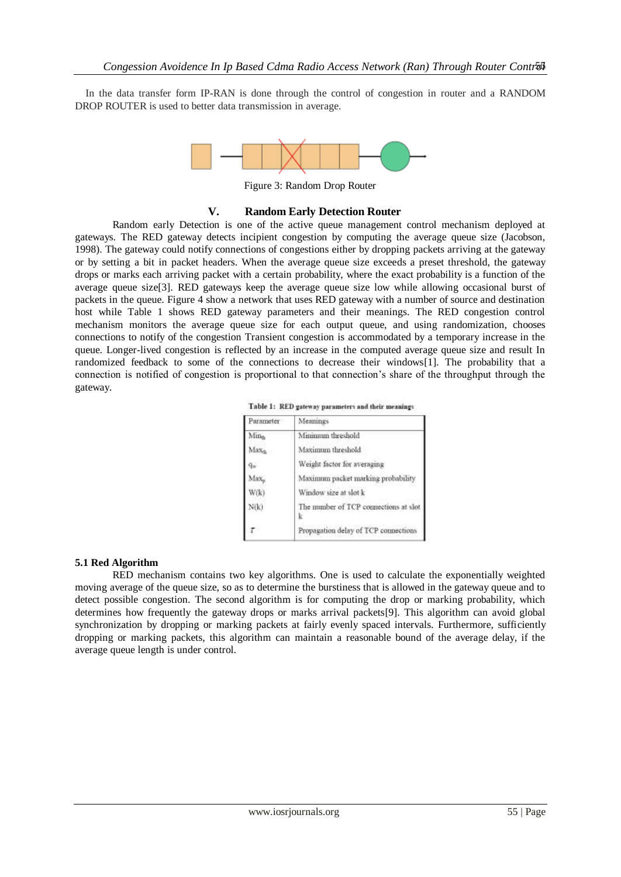In the data transfer form IP-RAN is done through the control of congestion in router and a RANDOM DROP ROUTER is used to better data transmission in average.



Figure 3: Random Drop Router

## **V. Random Early Detection Router**

Random early Detection is one of the active queue management control mechanism deployed at gateways. The RED gateway detects incipient congestion by computing the average queue size (Jacobson, 1998). The gateway could notify connections of congestions either by dropping packets arriving at the gateway or by setting a bit in packet headers. When the average queue size exceeds a preset threshold, the gateway drops or marks each arriving packet with a certain probability, where the exact probability is a function of the average queue size[3]. RED gateways keep the average queue size low while allowing occasional burst of packets in the queue. Figure 4 show a network that uses RED gateway with a number of source and destination host while Table 1 shows RED gateway parameters and their meanings. The RED congestion control mechanism monitors the average queue size for each output queue, and using randomization, chooses connections to notify of the congestion Transient congestion is accommodated by a temporary increase in the queue. Longer-lived congestion is reflected by an increase in the computed average queue size and result In randomized feedback to some of the connections to decrease their windows[1]. The probability that a connection is notified of congestion is proportional to that connection's share of the throughput through the gateway.

Table 1: RED gateway parameters and their meanings

| Parameter         | Meanings                              |
|-------------------|---------------------------------------|
| Min <sub>t</sub>  | Minimum threshold                     |
| Max <sub>th</sub> | Maximum threshold                     |
| Qw.               | Weight factor for averaging           |
| Max <sub>o</sub>  | Maximum packet marking probability    |
| W(k)              | Window size at slot k                 |
| N(k)              | The number of TCP connections at slot |
|                   | Propagation delay of TCP connections  |

## **5.1 Red Algorithm**

RED mechanism contains two key algorithms. One is used to calculate the exponentially weighted moving average of the queue size, so as to determine the burstiness that is allowed in the gateway queue and to detect possible congestion. The second algorithm is for computing the drop or marking probability, which determines how frequently the gateway drops or marks arrival packets[9]. This algorithm can avoid global synchronization by dropping or marking packets at fairly evenly spaced intervals. Furthermore, sufficiently dropping or marking packets, this algorithm can maintain a reasonable bound of the average delay, if the average queue length is under control.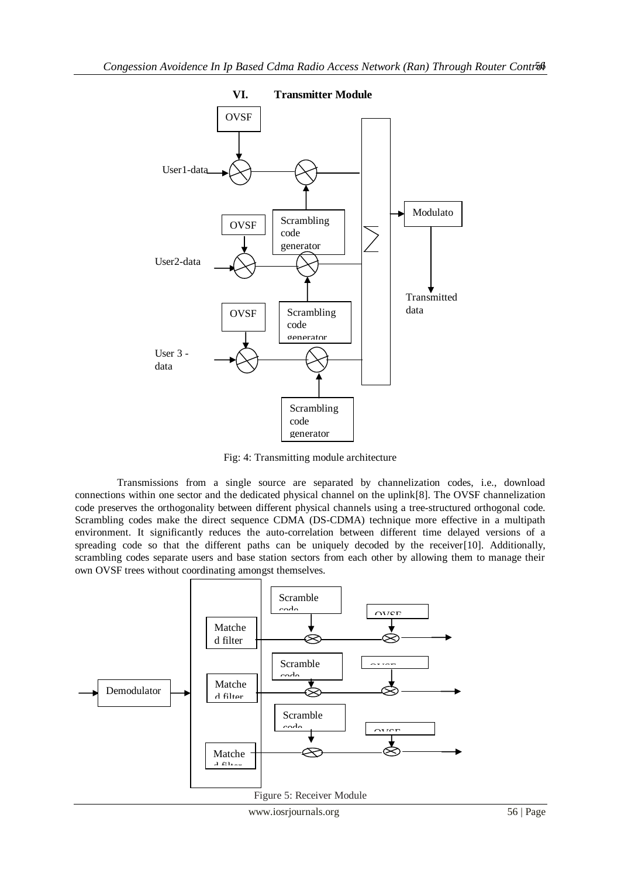

Fig: 4: Transmitting module architecture

Transmissions from a single source are separated by channelization codes, i.e., download connections within one sector and the dedicated physical channel on the uplink[8]. The OVSF channelization code preserves the orthogonality between different physical channels using a tree-structured orthogonal code. Scrambling codes make the direct sequence CDMA (DS-CDMA) technique more effective in a multipath environment. It significantly reduces the auto-correlation between different time delayed versions of a spreading code so that the different paths can be uniquely decoded by the receiver[10]. Additionally, scrambling codes separate users and base station sectors from each other by allowing them to manage their own OVSF trees without coordinating amongst themselves.

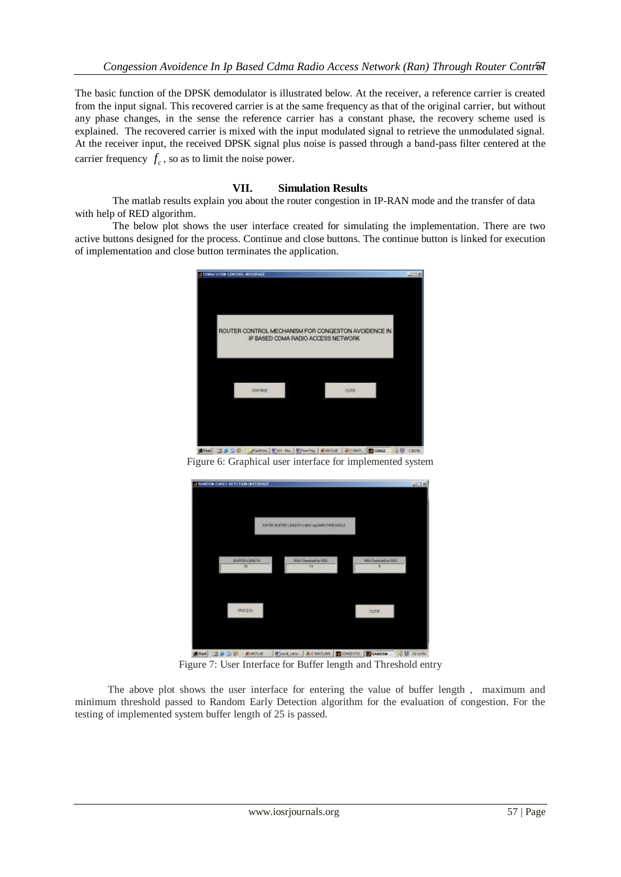The basic function of the DPSK demodulator is illustrated below. At the receiver, a reference carrier is created from the input signal. This recovered carrier is at the same frequency as that of the original carrier, but without any phase changes, in the sense the reference carrier has a constant phase, the recovery scheme used is explained. The recovered carrier is mixed with the input modulated signal to retrieve the unmodulated signal. At the receiver input, the received DPSK signal plus noise is passed through a band-pass filter centered at the carrier frequency  $f_c$ , so as to limit the noise power.

# **VII. Simulation Results**

The matlab results explain you about the router congestion in IP-RAN mode and the transfer of data with help of RED algorithm.

The below plot shows the user interface created for simulating the implementation. There are two active buttons designed for the process. Continue and close buttons. The continue button is linked for execution of implementation and close button terminates the application.



Figure 6: Graphical user interface for implemented system



See (1836) Abene | Designs | Advenue | Doublet | Dessey | C B triebe Figure 7: User Interface for Buffer length and Threshold entry

The above plot shows the user interface for entering the value of buffer length , maximum and minimum threshold passed to Random Early Detection algorithm for the evaluation of congestion. For the testing of implemented system buffer length of 25 is passed.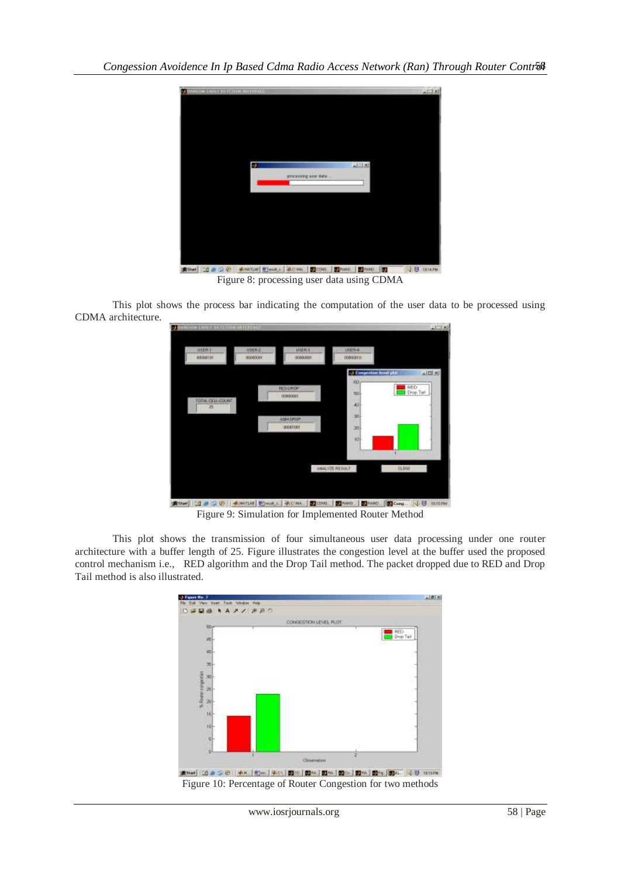

Figure 8: processing user data using CDMA

This plot shows the process bar indicating the computation of the user data to be processed using CDMA architecture.



Figure 9: Simulation for Implemented Router Method

This plot shows the transmission of four simultaneous user data processing under one router architecture with a buffer length of 25. Figure illustrates the congestion level at the buffer used the proposed control mechanism i.e., RED algorithm and the Drop Tail method. The packet dropped due to RED and Drop Tail method is also illustrated.

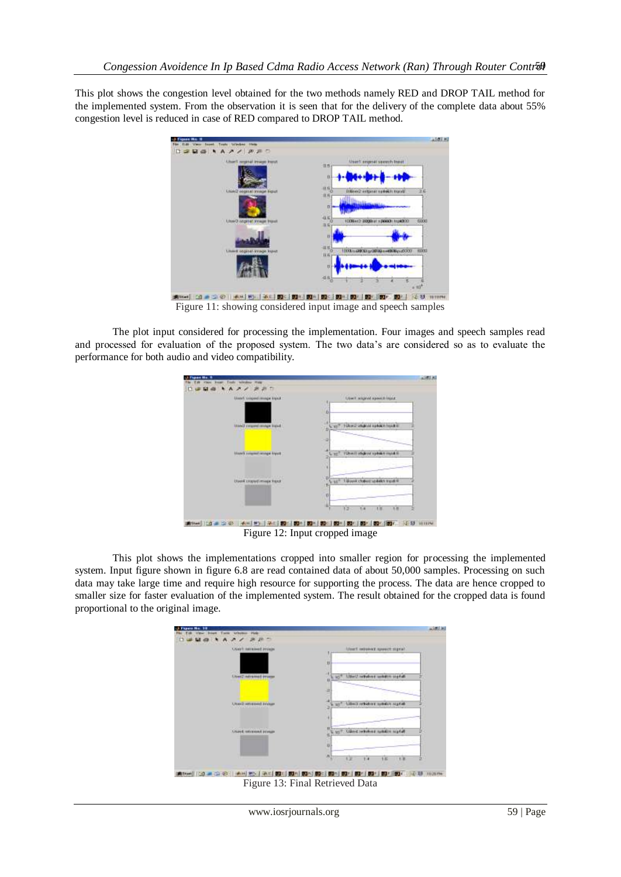This plot shows the congestion level obtained for the two methods namely RED and DROP TAIL method for the implemented system. From the observation it is seen that for the delivery of the complete data about 55% congestion level is reduced in case of RED compared to DROP TAIL method.



Figure 11: showing considered input image and speech samples Figure 11: showing considered input image and speech samples

The plot input considered for processing the implementation. Four images and speech samples read and processed for evaluation of the proposed system. The two data's are considered so as to evaluate the performance for both audio and video compatibility.



Figure 12: Input cropped image

This plot shows the implementations cropped into smaller region for processing the implemented system. Input figure shown in figure 6.8 are read contained data of about 50,000 samples. Processing on such data may take large time and require high resource for supporting the process. The data are hence cropped to smaller size for faster evaluation of the implemented system. The result obtained for the cropped data is found proportional to the original image.